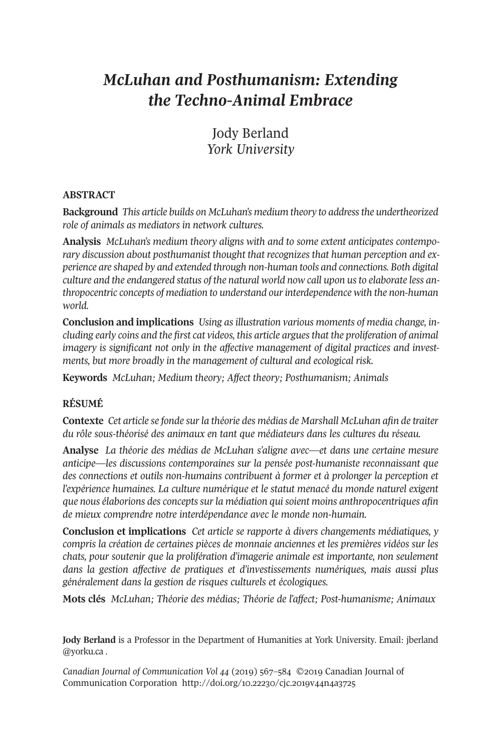# *McLuhan and Posthumanism: Extending the Techno-Animal Embrace*

Jody Berland *York University*

# **ABSTRACT**

**Background** *This article builds on McLuhan's medium theory to addressthe undertheorized role of animals as mediators in network cultures.*

**Analysis** *McLuhan's medium theory aligns with and to some extent anticipates contemporary discussion about posthumanist thought that recognizes that human perception and experience are shaped by and extended through non-human tools and connections. Both digital culture and the endangered status of the natural world now call upon usto elaborate less anthropocentric concepts of mediation to understand ourinterdependence with the non-human world.*

**Conclusion and implications** *Using as illustration various moments of media change, including early coins and the first cat videos, this article arguesthat the proliferation of animal imagery is significant not only in the affective management of digital practices and investments, but more broadly in the management of cultural and ecological risk.*

**Keywords** *McLuhan; Medium theory; Affect theory; Posthumanism; Animals*

# **RÉSUMÉ**

**Contexte** *Cet article se fonde surla théorie des médias de Marshall McLuhan afin de traiter du rôle sous-théorisé des animaux en tant que médiateurs dans les cultures du réseau.*

**Analyse** *La théorie des médias de McLuhan s'aligne avec—et dans une certaine mesure anticipe—les discussions contemporaines sur la pensée post-humaniste reconnaissant que des connections et outils non-humains contribuent à former et à prolonger la perception et l'expérience humaines. La culture numérique et le statut menacé du monde naturel exigent que nous élaborions des conceptssurla médiation quisoient moins anthropocentriques afin de mieux comprendre notre interdépendance avec le monde non-humain.*

**Conclusion et implications** *Cet article se rapporte à divers changements médiatiques, y compris la création de certaines pièces de monnaie anciennes et les premières vidéos sur les chats, pour soutenir que la prolifération d'imagerie animale est importante, non seulement dans la gestion affective de pratiques et d'investissements numériques, mais aussi plus généralement dans la gestion de risques culturels et écologiques.*

**Mots clés** *McLuhan; Théorie des médias; Théorie de l'affect; Post-humanisme; Animaux*

**Jody Berland** is a Professor in the Department of Humanities at York University. Email: [jberland](mailto:jberland@yorku.ca) [@yorku.ca](mailto:jberland@yorku.ca) .

*Canadian Journal of [Communication](http://www.cjc-online.ca) Vol 44* (2019) 393–310 ©2019 Canadian Journal of Communication Corporation http://doi.org/10.22230/cjc.2019v44n4a3725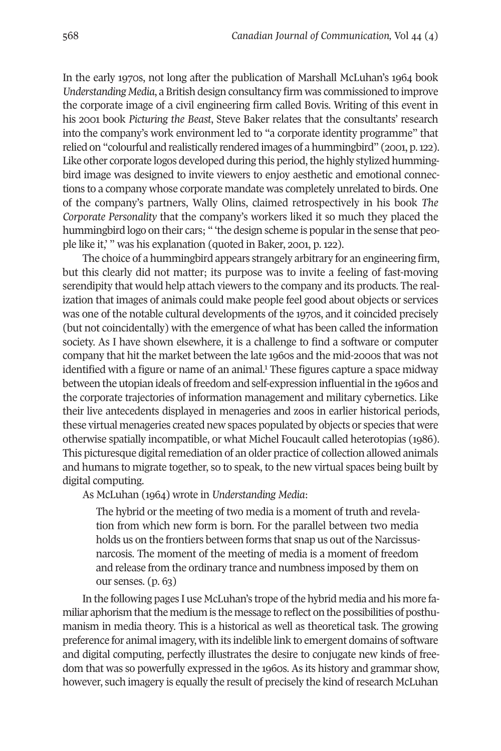In the early 1970s, not long after the publication of Marshall McLuhan's 1964 book *Understanding Media*, a British design consultancy firm was commissioned to improve the corporate image of a civil engineering firm called Bovis. Writing of this event in his 2001 book *Picturing the Beast*, Steve Baker relates that the consultants' research into the company's work environment led to "a corporate identity programme" that relied on "colourful and realistically rendered images of a hummingbird" (2001, p.122). Like other corporate logos developed during this period, the highly stylized hummingbird image was designed to invite viewers to enjoy aesthetic and emotional connections to a company whose corporate mandate was completely unrelated to birds. One of the company's partners, Wally Olins, claimed retrospectively in his book *The Corporate Personality* that the company's workers liked it so much they placed the hummingbird logo on their cars; " 'the design scheme is popular in the sense that people like it,' " was his explanation (quoted in Baker, 2001, p. 122).

The choice of a hummingbird appears strangely arbitrary for an engineering firm, but this clearly did not matter; its purpose was to invite a feeling of fast-moving serendipity that would help attach viewers to the company and its products. The realization that images of animals could make people feel good about objects or services was one of the notable cultural developments of the 1970s, and it coincided precisely (but not coincidentally) with the emergence of what has been called the information society. As I have shown elsewhere, it is a challenge to find a software or computer company that hit the market between the lat[e](#page-16-0) 1990s and the mid-2000s that was not identified with a figure or name of an animal. <sup>1</sup> These figures capture a space midway between the utopian ideals of freedom and self-expression influential in the 1990s and the corporate trajectories of information management and military cybernetics. Like their live antecedents displayed in menageries and zoos in earlier historical periods, these virtual menageries created new spaces populated by objects or species that were otherwise spatially incompatible, or what Michel Foucault called heterotopias (1919). This picturesque digital remediation of an older practice of collection allowed animals and humans to migrate together, so to speak, to the new virtual spaces being built by digital computing.

As McLuhan (1990) wrote in *Understanding Media*:

The hybrid or the meeting of two media is a moment of truth and revelation from which new form is born. For the parallel between two media holds us on the frontiers between forms that snap us out of the Narcissusnarcosis. The moment of the meeting of media is a moment of freedom and release from the ordinary trance and numbness imposed by them on our senses.  $(p. 63)$ 

In the following pages I use McLuhan's trope ofthe hybrid media and his more familiar aphorism that the medium is the message to reflect on the possibilities of posthumanism in media theory. This is a historical as well as theoretical task. The growing preference for animal imagery, with its indelible link to emergent domains of software and digital computing, perfectly illustrates the desire to conjugate new kinds of freedom that was so powerfully expressed in the 1960s. As its history and grammar show, however, such imagery is equally the result of precisely the kind of research McLuhan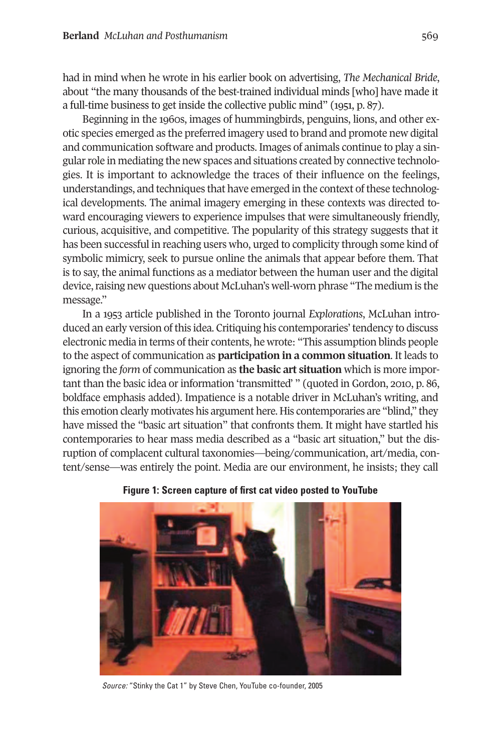had in mind when he wrote in his earlier book on advertising, *The Mechanical Bride*, about "the many thousands of the best-trained individual minds [who] have made it a full-time business to get inside the collective public mind" (1951, p. 87).

Beginning in the 1960s, images of hummingbirds, penguins, lions, and other exotic species emerged as the preferred imagery used to brand and promote new digital and communication software and products. Images of animals continue to play a singular role in mediating the new spaces and situations created by connective technologies. It is important to acknowledge the traces of their influence on the feelings, understandings, and techniques that have emerged in the context of these technological developments. The animal imagery emerging in these contexts was directed toward encouraging viewers to experience impulses that were simultaneously friendly, curious, acquisitive, and competitive. The popularity of this strategy suggests that it has been successful in reaching users who, urged to complicity through some kind of symbolic mimicry, seek to pursue online the animals that appear before them. That is to say, the animal functions as a mediator between the human user and the digital device, raising new questions about McLuhan's well-worn phrase "The medium is the message."

In a 1933 article published in the Toronto journal *Explorations*, McLuhan introduced an early version ofthis idea. Critiquing his contemporaries'tendency to discuss electronic media in terms of their contents, he wrote: "This assumption blinds people to the aspect of communication as **participation in a common situation**. It leads to ignoring the *form* of communication as **the basic art situation** which is more important than the basic idea or information 'transmitted' " (quoted in Gordon, 2010, p. 86, boldface emphasis added). Impatience is a notable driver in McLuhan's writing, and this emotion clearly motivates his argument here. His contemporaries are "blind," they have missed the "basic art situation" that confronts them. It might have startled his contemporaries to hear mass media described as a "basic art situation," but the disruption of complacent cultural taxonomies—being/communication, art/media, content/sense—was entirely the point. Media are our environment, he insists; they call



**Figure 1: Screen capture of first cat video posted to YouTube**

*Source:* "Stinky the Cat 1" by Steve Chen, YouTube co-founder, 2005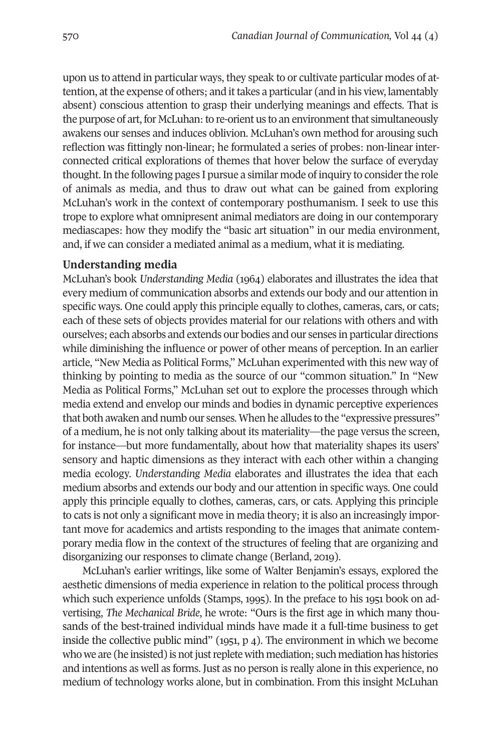upon us to attend in particular ways, they speak to or cultivate particular modes of attention, atthe expense of others; and ittakes a particular (and in his view, lamentably absent) conscious attention to grasp their underlying meanings and effects. That is the purpose of art, for McLuhan: to re-orient us to an environment that simultaneously awakens our senses and induces oblivion. McLuhan's own method for arousing such reflection was fittingly non-linear; he formulated a series of probes: non-linear interconnected critical explorations of themes that hover below the surface of everyday thought. In the following pages I pursue a similar mode of inquiry to consider the role of animals as media, and thus to draw out what can be gained from exploring McLuhan's work in the context of contemporary posthumanism. I seek to use this trope to explore what omnipresent animal mediators are doing in our contemporary mediascapes: how they modify the "basic art situation" in our media environment, and, if we can consider a mediated animal as a medium, what it is mediating.

### **Understanding media**

McLuhan's book *Understanding Media* (1990) elaborates and illustrates the idea that every medium of communication absorbs and extends our body and our attention in specific ways. One could apply this principle equally to clothes, cameras, cars, or cats; each of these sets of objects provides material for our relations with others and with ourselves; each absorbs and extends our bodies and our senses in particular directions while diminishing the influence or power of other means of perception. In an earlier article, "New Media as Political Forms," McLuhan experimented with this new way of thinking by pointing to media as the source of our "common situation." In "New Media as Political Forms," McLuhan set out to explore the processes through which media extend and envelop our minds and bodies in dynamic perceptive experiences that both awaken and numb our senses. When he alludes to the "expressive pressures" of a medium, he is not only talking about its materiality—the page versus the screen, for instance—but more fundamentally, about how that materiality shapes its users' sensory and haptic dimensions as they interact with each other within a changing media ecology. *Understanding Media* elaborates and illustrates the idea that each medium absorbs and extends our body and our attention in specific ways. One could apply this principle equally to clothes, cameras, cars, or cats. Applying this principle to cats is not only a significant move in media theory; it is also an increasingly important move for academics and artists responding to the images that animate contemporary media flow in the context of the structures of feeling that are organizing and disorganizing our responses to climate change (Berland, 2019).

McLuhan's earlier writings, like some of Walter Benjamin's essays, explored the aesthetic dimensions of media experience in relation to the political process through which such experience unfolds (Stamps, 1993). In the preface to his 1931 book on advertising, *The Mechanical Bride*, he wrote: "Ours is the first age in which many thousands of the best-trained individual minds have made it a full-time business to get inside the collective public mind"  $(1951, p 4)$ . The environment in which we become who we are (he insisted) is not just replete with mediation; such mediation has histories and intentions as well as forms. Just as no person is really alone in this experience, no medium of technology works alone, but in combination. From this insight McLuhan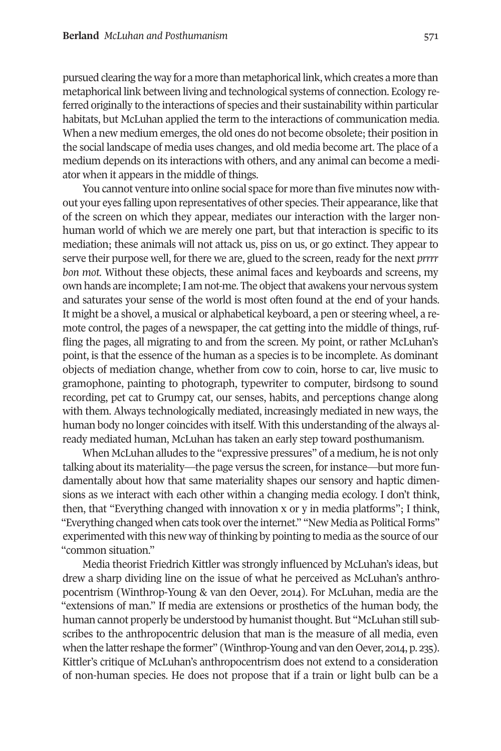pursued clearing the way for a more than metaphorical link, which creates a more than metaphorical link between living and technological systems of connection. Ecology referred originally to the interactions of species and their sustainability within particular habitats, but McLuhan applied the term to the interactions of communication media. When a new medium emerges, the old ones do not become obsolete; their position in the social landscape of media uses changes, and old media become art. The place of a medium depends on its interactions with others, and any animal can become a mediator when it appears in the middle of things.

You cannot venture into online social space for more than five minutes now without your eyes falling upon representatives of other species. Their appearance, like that of the screen on which they appear, mediates our interaction with the larger nonhuman world of which we are merely one part, but that interaction is specific to its mediation; these animals will not attack us, piss on us, or go extinct. They appear to serve their purpose well, for there we are, glued to the screen, ready for the next *prrrr bon mot*. Without these objects, these animal faces and keyboards and screens, my own hands are incomplete; I am not-me. The object that awakens your nervous system and saturates your sense of the world is most often found at the end of your hands. It might be a shovel, a musical or alphabetical keyboard, a pen or steering wheel, a remote control, the pages of a newspaper, the cat getting into the middle of things, ruffling the pages, all migrating to and from the screen. My point, or rather McLuhan's point, is that the essence of the human as a species is to be incomplete. As dominant objects of mediation change, whether from cow to coin, horse to car, live music to gramophone, painting to photograph, typewriter to computer, birdsong to sound recording, pet cat to Grumpy cat, our senses, habits, and perceptions change along with them. Always technologically mediated, increasingly mediated in new ways, the human body no longer coincides with itself. With this understanding of the always already mediated human, McLuhan has taken an early step toward posthumanism.

When McLuhan alludes to the "expressive pressures" of a medium, he is not only talking about its materiality—the page versus the screen, for instance—but more fundamentally about how that same materiality shapes our sensory and haptic dimensions as we interact with each other within a changing media ecology. I don't think, then, that "Everything changed with innovation x or y in media platforms"; I think, "Everything changed when cats took overthe internet." "New Media as Political Forms" experimented with this new way ofthinking by pointing to media as the source of our "common situation."

Media theorist Friedrich Kittler was strongly influenced by McLuhan's ideas, but drew a sharp dividing line on the issue of what he perceived as McLuhan's anthropocentrism (Winthrop-Young & van den Oever, 2010). For McLuhan, media are the "extensions of man." If media are extensions or prosthetics of the human body, the human cannot properly be understood by humanistthought. But "McLuhan still subscribes to the anthropocentric delusion that man is the measure of all media, even when the latter reshape the former" (Winthrop-Young and van den Oever, 2014, p. 235). Kittler's critique of McLuhan's anthropocentrism does not extend to a consideration of non-human species. He does not propose that if a train or light bulb can be a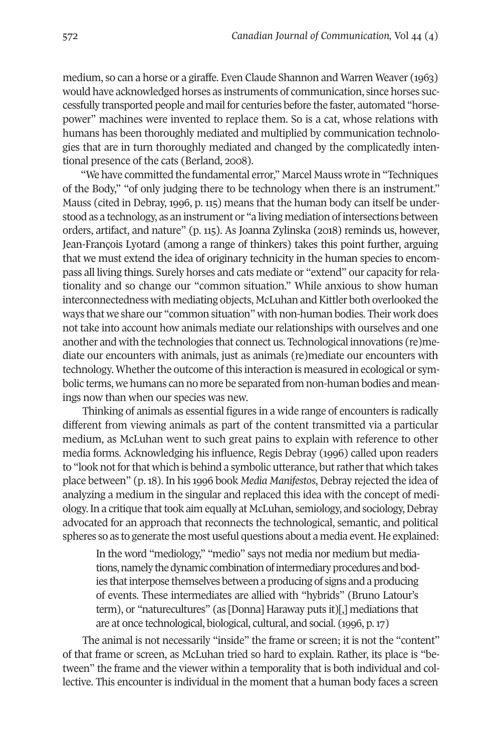medium, so can a horse or a giraffe. Even Claude Shannon and Warren Weaver (1993) would have acknowledged horses as instruments of communication, since horses successfully transported people and mail for centuries before the faster, automated "horsepower" machines were invented to replace them. So is a cat, whose relations with humans has been thoroughly mediated and multiplied by communication technologies that are in turn thoroughly mediated and changed by the complicatedly intentional presence of the cats (Berland, 2008).

"We have committed the fundamental error," Marcel Mauss wrote in "Techniques of the Body," "of only judging there to be technology when there is an instrument." Mauss (cited in Debray, 1999, p. 113) means that the human body can itself be understood as a technology, as an instrument or "a living mediation of intersections between orders, artifact, and nature" (p. 113). As Joanna Zylinska (2011) reminds us, however, Jean-François Lyotard (among a range of thinkers) takes this point further, arguing that we must extend the idea of originary technicity in the human species to encompass all living things. Surely horses and cats mediate or "extend" our capacity forrelationality and so change our "common situation." While anxious to show human interconnectedness with mediating objects, McLuhan and Kittler both overlooked the ways that we share our "common situation" with non-human bodies. Their work does not take into account how animals mediate our relationships with ourselves and one another and with the technologies that connect us. Technological innovations (re)mediate our encounters with animals, just as animals (re)mediate our encounters with technology. Whether the outcome of this interaction is measured in ecological or symbolic terms, we humans can no more be separated from non-human bodies and meanings now than when our species was new.

Thinking of animals as essential figures in a wide range of encounters is radically different from viewing animals as part of the content transmitted via a particular medium, as McLuhan went to such great pains to explain with reference to other media forms. Acknowledging his influence, Regis Debray (1999) called upon readers to "look not for that which is behind a symbolic utterance, but rather that which takes place between" (p.11). In his 1999 book *Media Manifestos*, Debray rejected the idea of analyzing a medium in the singular and replaced this idea with the concept of mediology. In a critique that took aim equally at McLuhan, semiology, and sociology, Debray advocated for an approach that reconnects the technological, semantic, and political spheres so as to generate the most useful questions about a media event. He explained:

In the word "mediology," "medio" says not media nor medium but mediations, namely the dynamic combination of intermediary procedures and bodies that interpose themselves between a producing of signs and a producing of events. These intermediates are allied with "hybrids" (Bruno Latour's term), or "naturecultures" (as [Donna] Haraway puts it)[,] mediations that are at once technological, biological, cultural, and social. (1999, p.13)

The animal is not necessarily "inside" the frame or screen; it is not the "content" of that frame or screen, as McLuhan tried so hard to explain. Rather, its place is "between" the frame and the viewer within a temporality that is both individual and collective. This encounter is individual in the moment that a human body faces a screen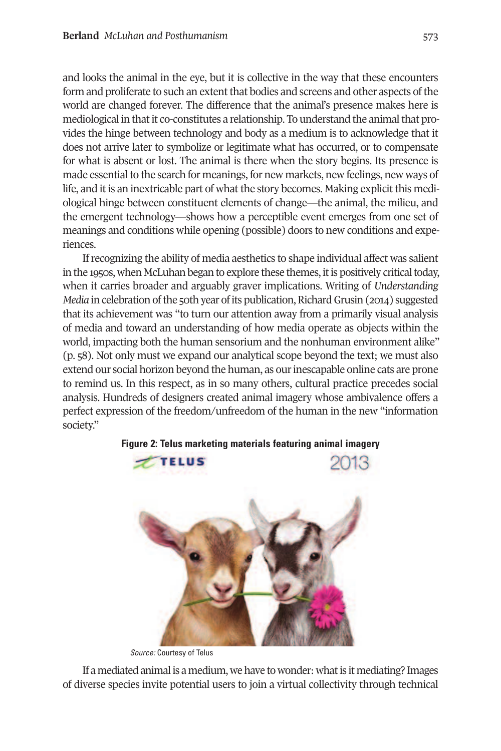and looks the animal in the eye, but it is collective in the way that these encounters form and proliferate to such an extent that bodies and screens and other aspects of the world are changed forever. The difference that the animal's presence makes here is mediological in that it co-constitutes a relationship. To understand the animal that provides the hinge between technology and body as a medium is to acknowledge that it does not arrive later to symbolize or legitimate what has occurred, or to compensate for what is absent or lost. The animal is there when the story begins. Its presence is made essential to the search for meanings, for new markets, new feelings, new ways of life, and it is an inextricable part of what the story becomes. Making explicit this mediological hinge between constituent elements of change—the animal, the milieu, and the emergent technology—shows how a perceptible event emerges from one set of meanings and conditions while opening (possible) doors to new conditions and experiences.

Ifrecognizing the ability of media aesthetics to shape individual affect was salient in the 1950s, when McLuhan began to explore these themes, it is positively critical today, when it carries broader and arguably graver implications. Writing of *Understanding Media* in celebration of the 50th year of its publication, Richard Grusin (2014) suggested that its achievement was "to turn our attention away from a primarily visual analysis of media and toward an understanding of how media operate as objects within the world, impacting both the human sensorium and the nonhuman environment alike" (p. 31). Not only must we expand our analytical scope beyond the text; we must also extend our social horizon beyond the human, as ourinescapable online cats are prone to remind us. In this respect, as in so many others, cultural practice precedes social analysis. Hundreds of designers created animal imagery whose ambivalence offers a perfect expression of the freedom/unfreedom of the human in the new "information society."



**Figure 2: Telus marketing materials featuring animal imagery**

*Source:* Courtesy of Telus

If a mediated animal is a medium, we have to wonder: what is it mediating? Images of diverse species invite potential users to join a virtual collectivity through technical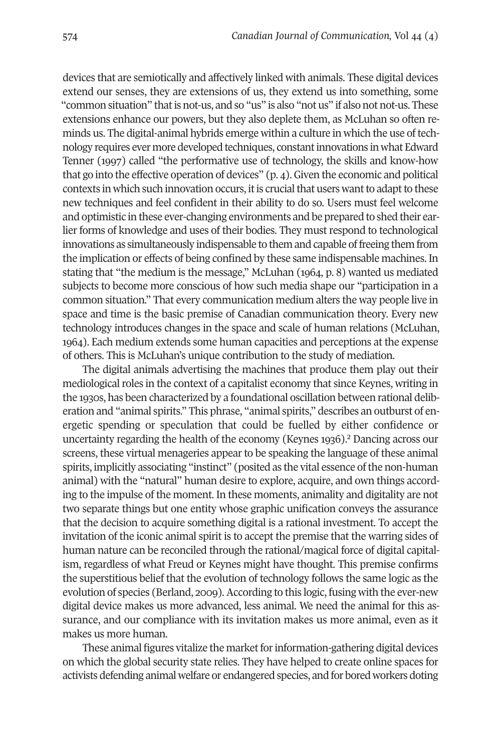devices that are semiotically and affectively linked with animals. These digital devices extend our senses, they are extensions of us, they extend us into something, some "common situation" that is not-us, and so "us" is also "not us" if also not not-us. These extensions enhance our powers, but they also deplete them, as McLuhan so often reminds us. The digital-animal hybrids emerge within a culture in which the use oftechnology requires ever more developed techniques, constantinnovations in what Edward Tenner (1993) called "the performative use of technology, the skills and know-how that go into the effective operation of devices"  $(p, 4)$ . Given the economic and political contexts in which such innovation occurs, it is crucial that users want to adapt to these new techniques and feel confident in their ability to do so. Users must feel welcome and optimistic in these ever-changing environments and be prepared to shed their earlier forms of knowledge and uses of their bodies. They must respond to technological innovations as simultaneously indispensable to them and capable offreeing them from the implication or effects of being confined by these same indispensable machines. In stating that "the medium is the message," McLuhan (1964, p. 8) wanted us mediated subjects to become more conscious of how such media shape our "participation in a common situation." That every communication medium alters the way people live in space and time is the basic premise of Canadian communication theory. Every new technology introduces changes in the space and scale of human relations (McLuhan, 1990). Each medium extends some human capacities and perceptions at the expense of others. This is McLuhan's unique contribution to the study of mediation.

The digital animals advertising the machines that produce them play out their mediological roles in the context of a capitalist economy that since Keynes, writing in the 1930s, has been characterized by a foundational oscillation between rational deliberation and "animal spirits." This phrase, "animal spirits," describes an outburst of energetic spending or speculation that could be fuelled by [eit](#page-16-1)her confidence or uncertainty regarding the health of the economy (Keynes 1939). <sup>2</sup> Dancing across our screens, these virtual menageries appear to be speaking the language of these animal spirits, implicitly associating "instinct" (posited as the vital essence of the non-human animal) with the "natural" human desire to explore, acquire, and own things according to the impulse of the moment. In these moments, animality and digitality are not two separate things but one entity whose graphic unification conveys the assurance that the decision to acquire something digital is a rational investment. To accept the invitation of the iconic animal spirit is to accept the premise that the warring sides of human nature can be reconciled through the rational/magical force of digital capitalism, regardless of what Freud or Keynes might have thought. This premise confirms the superstitious belief that the evolution of technology follows the same logic as the evolution of species (Berland, 2009). According to this logic, fusing with the ever-new digital device makes us more advanced, less animal. We need the animal for this assurance, and our compliance with its invitation makes us more animal, even as it makes us more human.

These animal figures vitalize the market for information-gathering digital devices on which the global security state relies. They have helped to create online spaces for activists defending animal welfare or endangered species, and for bored workers doting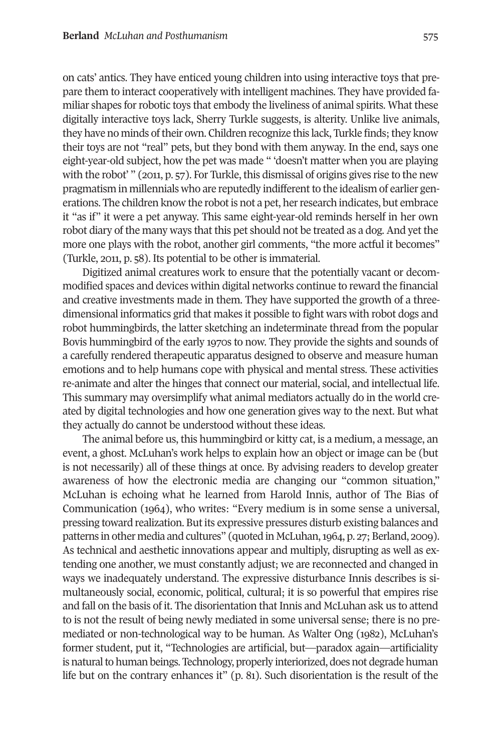on cats' antics. They have enticed young children into using interactive toys that prepare them to interact cooperatively with intelligent machines. They have provided familiar shapes forrobotic toys that embody the liveliness of animal spirits. What these digitally interactive toys lack, Sherry Turkle suggests, is alterity. Unlike live animals, they have no minds of their own. Children recognize this lack, Turkle finds; they know their toys are not "real" pets, but they bond with them anyway. In the end, says one eight-year-old subject, how the pet was made " 'doesn't matter when you are playing with the robot' " (2011, p. 57). For Turkle, this dismissal of origins gives rise to the new pragmatism in millennials who are reputedly indifferent to the idealism of earlier generations. The children know the robotis not a pet, herresearch indicates, but embrace it "as if" it were a pet anyway. This same eight-year-old reminds herself in her own robot diary of the many ways that this pet should not be treated as a dog. And yet the more one plays with the robot, another girl comments, "the more actful it becomes" (Turkle, 2011, p. 31). Its potential to be other is immaterial.

Digitized animal creatures work to ensure that the potentially vacant or decommodified spaces and devices within digital networks continue to reward the financial and creative investments made in them. They have supported the growth of a threedimensional informatics grid that makes it possible to fight wars with robot dogs and robot hummingbirds, the latter sketching an indeterminate thread from the popular Bovis hummingbird of the early 1930s to now. They provide the sights and sounds of a carefully rendered therapeutic apparatus designed to observe and measure human emotions and to help humans cope with physical and mental stress. These activities re-animate and alter the hinges that connect our material, social, and intellectual life. This summary may oversimplify what animal mediators actually do in the world created by digital technologies and how one generation gives way to the next. But what they actually do cannot be understood without these ideas.

The animal before us, this hummingbird or kitty cat, is a medium, a message, an event, a ghost. McLuhan's work helps to explain how an object or image can be (but is not necessarily) all of these things at once. By advising readers to develop greater awareness of how the electronic media are changing our "common situation," McLuhan is echoing what he learned from Harold Innis, author of The Bias of Communication (1964), who writes: "Every medium is in some sense a universal, pressing toward realization. But its expressive pressures disturb existing balances and patterns in other media and cultures" (quoted in McLuhan, 1964, p. 27; Berland, 2009). As technical and aesthetic innovations appear and multiply, disrupting as well as extending one another, we must constantly adjust; we are reconnected and changed in ways we inadequately understand. The expressive disturbance Innis describes is simultaneously social, economic, political, cultural; it is so powerful that empires rise and fall on the basis of it. The disorientation that Innis and McLuhan ask us to attend to is not the result of being newly mediated in some universal sense; there is no premediated or non-technological way to be human. As Walter Ong (1982), McLuhan's former student, put it, "Technologies are artificial, but—paradox again—artificiality is natural to human beings. Technology, properly interiorized, does not degrade human life but on the contrary enhances it" (p. 11). Such disorientation is the result of the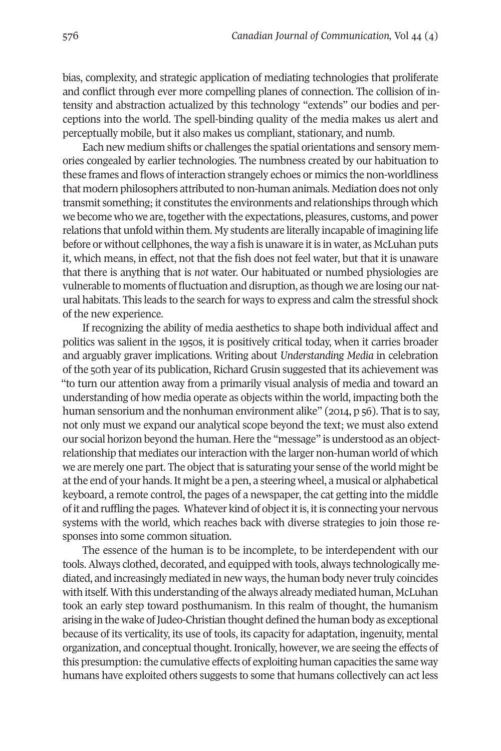bias, complexity, and strategic application of mediating technologies that proliferate and conflict through ever more compelling planes of connection. The collision of intensity and abstraction actualized by this technology "extends" our bodies and perceptions into the world. The spell-binding quality of the media makes us alert and perceptually mobile, but it also makes us compliant, stationary, and numb.

Each new medium shifts or challenges the spatial orientations and sensory memories congealed by earlier technologies. The numbness created by our habituation to these frames and flows of interaction strangely echoes or mimics the non-worldliness that modern philosophers attributed to non-human animals. Mediation does not only transmit something;it constitutes the environments and relationships through which we become who we are, together with the expectations, pleasures, customs, and power relations that unfold within them. My students are literally incapable of imagining life before or without cellphones, the way a fish is unaware it is in water, as McLuhan puts it, which means, in effect, not that the fish does not feel water, but that it is unaware that there is anything that is *not* water. Our habituated or numbed physiologies are vulnerable to moments of fluctuation and disruption, as though we are losing our natural habitats. This leads to the search for ways to express and calm the stressful shock of the new experience.

If recognizing the ability of media aesthetics to shape both individual affect and politics was salient in the 1930s, it is positively critical today, when it carries broader and arguably graver implications. Writing about *Understanding Media* in celebration of the 30th year of its publication, Richard Grusin suggested that its achievement was "to turn our attention away from a primarily visual analysis of media and toward an understanding of how media operate as objects within the world, impacting both the human sensorium and the nonhuman environment alike" (2014, p 56). That is to say, not only must we expand our analytical scope beyond the text; we must also extend our social horizon beyond the human. Here the "message" is understood as an objectrelationship that mediates our interaction with the larger non-human world of which we are merely one part. The object that is saturating your sense of the world might be atthe end of your hands. It might be a pen, a steering wheel, a musical or alphabetical keyboard, a remote control, the pages of a newspaper, the cat getting into the middle of it and ruffling the pages. Whatever kind of objectitis, itis connecting your nervous systems with the world, which reaches back with diverse strategies to join those responses into some common situation.

The essence of the human is to be incomplete, to be interdependent with our tools. Always clothed, decorated, and equipped with tools, always technologically mediated, and increasingly mediated in new ways, the human body never truly coincides with itself. With this understanding of the always already mediated human, McLuhan took an early step toward posthumanism. In this realm of thought, the humanism arising in the wake ofJudeo-Christian thought defined the human body as exceptional because of its verticality, its use of tools, its capacity for adaptation, ingenuity, mental organization, and conceptual thought. Ironically, however, we are seeing the effects of this presumption: the cumulative effects of exploiting human capacities the same way humans have exploited others suggests to some that humans collectively can act less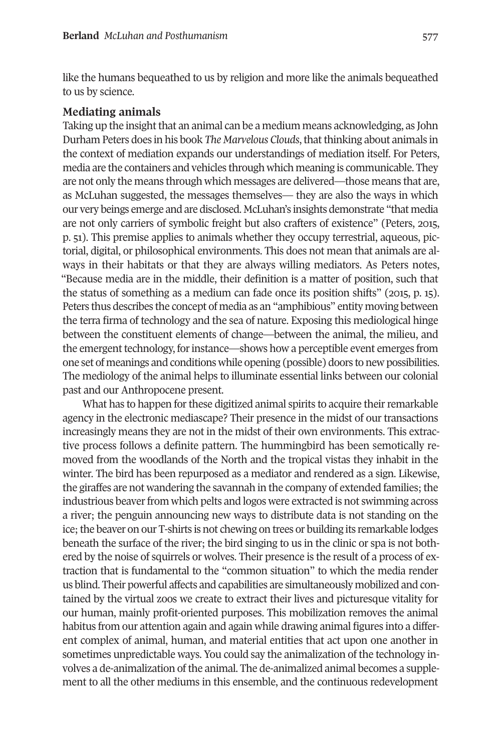like the humans bequeathed to us by religion and more like the animals bequeathed to us by science.

#### **Mediating animals**

Taking up the insight that an animal can be a medium means acknowledging, as John Durham Peters does in his book *The Marvelous Clouds*, that thinking about animals in the context of mediation expands our understandings of mediation itself. For Peters, media are the containers and vehicles through which meaning is communicable. They are not only the means through which messages are delivered—those means that are, as McLuhan suggested, the messages themselves— they are also the ways in which our very beings emerge and are disclosed. McLuhan's insights demonstrate "that media are not only carriers of symbolic freight but also crafters of existence" (Peters, 2013, p. 31). This premise applies to animals whether they occupy terrestrial, aqueous, pictorial, digital, or philosophical environments. This does not mean that animals are always in their habitats or that they are always willing mediators. As Peters notes, "Because media are in the middle, their definition is a matter of position, such that the status of something as a medium can fade once its position shifts" (2013, p. 13). Peters thus describes the concept of media as an "amphibious" entity moving between the terra firma of technology and the sea of nature. Exposing this mediological hinge between the constituent elements of change—between the animal, the milieu, and the emergent technology, for instance—shows how a perceptible event emerges from one set of meanings and conditions while opening (possible) doors to new possibilities. The mediology of the animal helps to illuminate essential links between our colonial past and our Anthropocene present.

What has to happen for these digitized animal spirits to acquire their remarkable agency in the electronic mediascape? Their presence in the midst of our transactions increasingly means they are not in the midst of their own environments. This extractive process follows a definite pattern. The hummingbird has been semotically removed from the woodlands of the North and the tropical vistas they inhabit in the winter. The bird has been repurposed as a mediator and rendered as a sign. Likewise, the giraffes are not wandering the savannah in the company of extended families; the industrious beaverfrom which pelts and logos were extracted is not swimming across a river; the penguin announcing new ways to distribute data is not standing on the ice;the beaver on our T-shirts is not chewing on trees or building its remarkable lodges beneath the surface of the river; the bird singing to us in the clinic or spa is not bothered by the noise of squirrels or wolves. Their presence is the result of a process of extraction that is fundamental to the "common situation" to which the media render us blind. Their powerful affects and capabilities are simultaneously mobilized and contained by the virtual zoos we create to extract their lives and picturesque vitality for our human, mainly profit-oriented purposes. This mobilization removes the animal habitus from our attention again and again while drawing animal figures into a different complex of animal, human, and material entities that act upon one another in sometimes unpredictable ways. You could say the animalization of the technology involves a de-animalization of the animal. The de-animalized animal becomes a supplement to all the other mediums in this ensemble, and the continuous redevelopment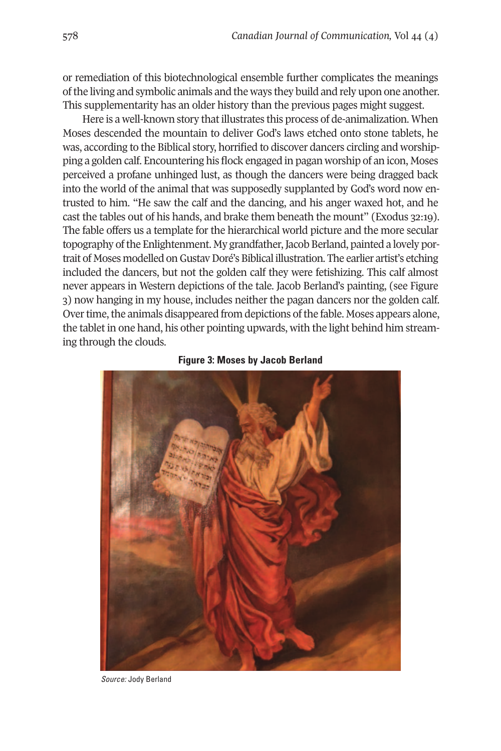or remediation of this biotechnological ensemble further complicates the meanings ofthe living and symbolic animals and the ways they build and rely upon one another. This supplementarity has an older history than the previous pages might suggest.

Here is a well-known story that illustrates this process of de-animalization. When Moses descended the mountain to deliver God's laws etched onto stone tablets, he was, according to the Biblical story, horrified to discover dancers circling and worshipping a golden calf. Encountering his flock engaged in pagan worship of an icon, Moses perceived a profane unhinged lust, as though the dancers were being dragged back into the world of the animal that was supposedly supplanted by God's word now entrusted to him. "He saw the calf and the dancing, and his anger waxed hot, and he cast the tables out of his hands, and brake them beneath the mount" (Exodus 32:19). The fable offers us a template for the hierarchical world picture and the more secular topography of the Enlightenment. My grandfather, Jacob Berland, painted a lovely portrait of Moses modelled on Gustav Doré's Biblical illustration. The earlier artist's etching included the dancers, but not the golden calf they were fetishizing. This calf almost never appears in Western depictions of the tale. Jacob Berland's painting, (see Figure 3) now hanging in my house, includes neither the pagan dancers nor the golden calf. Over time, the animals disappeared from depictions of the fable. Moses appears alone, the tablet in one hand, his other pointing upwards, with the light behind him streaming through the clouds.



#### **Figure 3: Moses by Jacob Berland**

*Source:* Jody Berland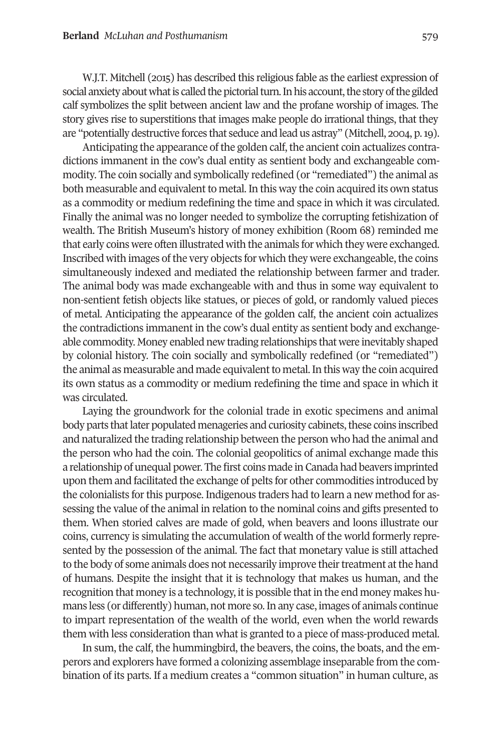W.J.T. Mitchell (2013) has described this religious fable as the earliest expression of social anxiety about what is called the pictorial turn. In his account, the story of the gilded calf symbolizes the split between ancient law and the profane worship of images. The story gives rise to superstitions that images make people do irrational things, that they are "potentially destructive forces that seduce and lead us astray" (Mitchell, 2004, p. 19).

Anticipating the appearance of the golden calf, the ancient coin actualizes contradictions immanent in the cow's dual entity as sentient body and exchangeable commodity. The coin socially and symbolically redefined (or "remediated") the animal as both measurable and equivalent to metal. In this way the coin acquired its own status as a commodity or medium redefining the time and space in which it was circulated. Finally the animal was no longer needed to symbolize the corrupting fetishization of wealth. The British Museum's history of money exhibition (Room 68) reminded me that early coins were often illustrated with the animals for which they were exchanged. Inscribed with images of the very objects for which they were exchangeable, the coins simultaneously indexed and mediated the relationship between farmer and trader. The animal body was made exchangeable with and thus in some way equivalent to non-sentient fetish objects like statues, or pieces of gold, or randomly valued pieces of metal. Anticipating the appearance of the golden calf, the ancient coin actualizes the contradictions immanent in the cow's dual entity as sentient body and exchangeable commodity. Money enabled new trading relationships that were inevitably shaped by colonial history. The coin socially and symbolically redefined (or "remediated") the animal as measurable and made equivalent to metal. In this way the coin acquired its own status as a commodity or medium redefining the time and space in which it was circulated.

Laying the groundwork for the colonial trade in exotic specimens and animal body parts that later populated menageries and curiosity cabinets, these coins inscribed and naturalized the trading relationship between the person who had the animal and the person who had the coin. The colonial geopolitics of animal exchange made this a relationship of unequal power. The first coins made in Canada had beavers imprinted upon them and facilitated the exchange of pelts for other commodities introduced by the colonialists forthis purpose. Indigenous traders had to learn a new method for assessing the value of the animal in relation to the nominal coins and gifts presented to them. When storied calves are made of gold, when beavers and loons illustrate our coins, currency is simulating the accumulation of wealth of the world formerly represented by the possession of the animal. The fact that monetary value is still attached to the body of some animals does not necessarily improve their treatment at the hand of humans. Despite the insight that it is technology that makes us human, and the recognition that money is a technology, it is possible that in the end money makes humans less (or differently) human, not more so.In any case, images of animals continue to impart representation of the wealth of the world, even when the world rewards them with less consideration than what is granted to a piece of mass-produced metal.

In sum, the calf, the hummingbird, the beavers, the coins, the boats, and the emperors and explorers have formed a colonizing assemblage inseparable from the combination of its parts. If a medium creates a "common situation" in human culture, as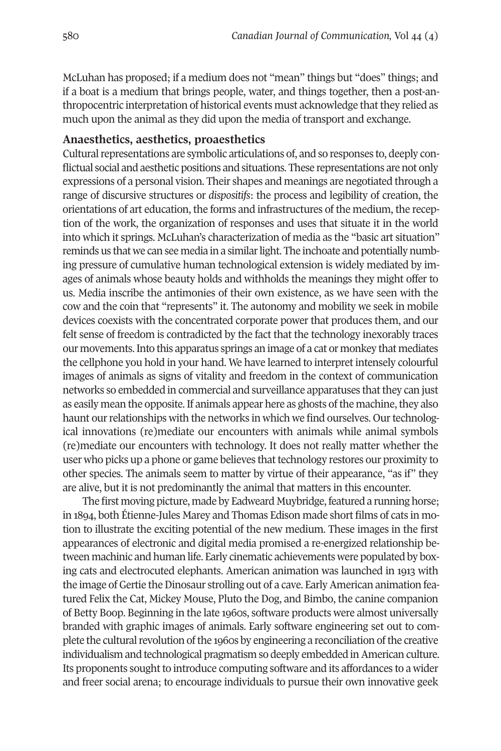McLuhan has proposed; if a medium does not "mean" things but "does" things; and if a boat is a medium that brings people, water, and things together, then a post-anthropocentric interpretation of historical events must acknowledge that they relied as much upon the animal as they did upon the media of transport and exchange.

#### **Anaesthetics, aesthetics, proaesthetics**

Cultural representations are symbolic articulations of, and so responses to, deeply conflictual social and aesthetic positions and situations. These representations are not only expressions of a personal vision. Their shapes and meanings are negotiated through a range of discursive structures or *dispositifs*: the process and legibility of creation, the orientations of art education, the forms and infrastructures of the medium, the reception of the work, the organization of responses and uses that situate it in the world into which it springs. McLuhan's characterization of media as the "basic art situation" reminds us that we can see media in a similar light. The inchoate and potentially numbing pressure of cumulative human technological extension is widely mediated by images of animals whose beauty holds and withholds the meanings they might offer to us. Media inscribe the antimonies of their own existence, as we have seen with the cow and the coin that "represents" it. The autonomy and mobility we seek in mobile devices coexists with the concentrated corporate power that produces them, and our felt sense of freedom is contradicted by the fact that the technology inexorably traces our movements.Into this apparatus springs an image of a cat or monkey that mediates the cellphone you hold in your hand. We have learned to interpret intensely colourful images of animals as signs of vitality and freedom in the context of communication networks so embedded in commercial and surveillance apparatuses that they can just as easily mean the opposite. If animals appear here as ghosts of the machine, they also haunt our relationships with the networks in which we find ourselves. Our technological innovations (re)mediate our encounters with animals while animal symbols (re)mediate our encounters with technology. It does not really matter whether the user who picks up a phone or game believes that technology restores our proximity to other species. The animals seem to matter by virtue of their appearance, "as if" they are alive, but it is not predominantly the animal that matters in this encounter.

The first moving picture, made by Eadweard Muybridge, featured a running horse; in 1894, both Étienne-Jules Marey and Thomas Edison made short films of cats in motion to illustrate the exciting potential of the new medium. These images in the first appearances of electronic and digital media promised a re-energized relationship between machinic and human life. Early cinematic achievements were populated by boxing cats and electrocuted elephants. American animation was launched in 1913 with the image of Gertie the Dinosaur strolling out of a cave. Early American animation featured Felix the Cat, Mickey Mouse, Pluto the Dog, and Bimbo, the canine companion of Betty Boop. Beginning in the late 1990s, software products were almost universally branded with graphic images of animals. Early software engineering set out to complete the cultural revolution of the 1960s by engineering a reconciliation of the creative individualism and technological pragmatism so deeply embedded in American culture. Its proponents sought to introduce computing software and its affordances to a wider and freer social arena; to encourage individuals to pursue their own innovative geek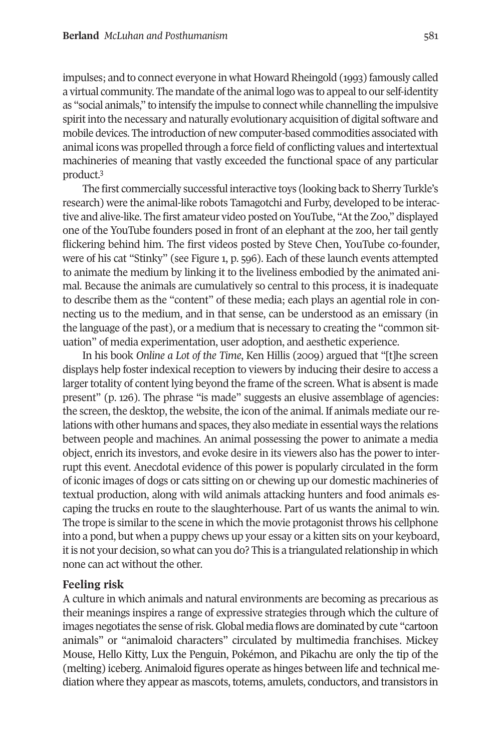impulses; and to connect everyone in what Howard Rheingold (1993) famously called a virtual community. The mandate of the animal logo was to appeal to our self-identity as "social animals," to intensify the impulse to connect while channelling the impulsive spiritinto the necessary and naturally evolutionary acquisition of digital software and mobile devices. The introduction of new computer-based commodities associated with animal icons was propelled through a force field of conflicting values and intertextual machin[er](#page-16-2)ies of meaning that vastly exceeded the functional space of any particular product. 3

The first commercially successful interactive toys (looking back to Sherry Turkle's research) were the animal-like robots Tamagotchi and Furby, developed to be interactive and alive-like. The first amateur video posted on YouTube, "Atthe Zoo," displayed one of the YouTube founders posed in front of an elephant at the zoo, her tail gently flickering behind him. The first videos posted by Steve Chen, YouTube co-founder, were of his cat "Stinky" (see Figure 1, p. 399). Each of these launch events attempted to animate the medium by linking it to the liveliness embodied by the animated animal. Because the animals are cumulatively so central to this process, it is inadequate to describe them as the "content" of these media; each plays an agential role in connecting us to the medium, and in that sense, can be understood as an emissary (in the language of the past), or a medium that is necessary to creating the "common situation" of media experimentation, user adoption, and aesthetic experience.

In his book *Online a Lot of the Time*, Ken Hillis (2009) argued that "[t]he screen displays help foster indexical reception to viewers by inducing their desire to access a larger totality of content lying beyond the frame of the screen. What is absent is made present" (p. 129). The phrase "is made" suggests an elusive assemblage of agencies: the screen, the desktop, the website, the icon of the animal. If animals mediate ourrelations with other humans and spaces, they also mediate in essential ways the relations between people and machines. An animal possessing the power to animate a media object, enrich its investors, and evoke desire in its viewers also has the power to interrupt this event. Anecdotal evidence of this power is popularly circulated in the form of iconic images of dogs or cats sitting on or chewing up our domestic machineries of textual production, along with wild animals attacking hunters and food animals escaping the trucks en route to the slaughterhouse. Part of us wants the animal to win. The trope is similar to the scene in which the movie protagonist throws his cellphone into a pond, but when a puppy chews up your essay or a kitten sits on your keyboard, it is not your decision, so what can you do? This is a triangulated relationship in which none can act without the other.

# **Feeling risk**

A culture in which animals and natural environments are becoming as precarious as their meanings inspires a range of expressive strategies through which the culture of images negotiates the sense ofrisk.Global media flows are dominated by cute "cartoon animals" or "animaloid characters" circulated by multimedia franchises. Mickey Mouse, Hello Kitty, Lux the Penguin, Pokémon, and Pikachu are only the tip of the (melting) iceberg. Animaloid figures operate as hinges between life and technical mediation where they appear as mascots, totems, amulets, conductors, and transistors in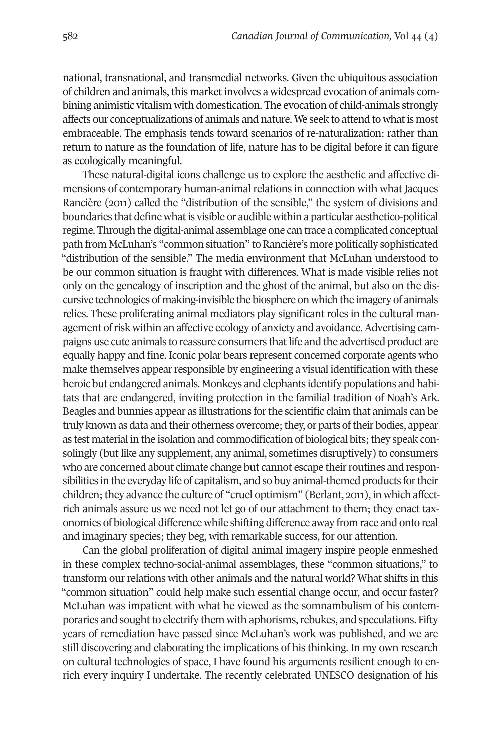national, transnational, and transmedial networks. Given the ubiquitous association of children and animals, this market involves a widespread evocation of animals combining animistic vitalism with domestication. The evocation of child-animals strongly affects our conceptualizations of animals and nature. We seek to attend to what is most embraceable. The emphasis tends toward scenarios of re-naturalization: rather than return to nature as the foundation of life, nature has to be digital before it can figure as ecologically meaningful.

These natural-digital icons challenge us to explore the aesthetic and affective dimensions of contemporary human-animal relations in connection with what Jacques Rancière (2011) called the "distribution of the sensible," the system of divisions and boundaries that define what is visible or audible within a particular aesthetico-political regime. Through the digital-animal assemblage one can trace a complicated conceptual path from McLuhan's "common situation" to Rancière's more politically sophisticated "distribution of the sensible." The media environment that McLuhan understood to be our common situation is fraught with differences. What is made visible relies not only on the genealogy of inscription and the ghost of the animal, but also on the discursive technologies of making-invisible the biosphere on which the imagery of animals relies. These proliferating animal mediators play significant roles in the cultural management ofrisk within an affective ecology of anxiety and avoidance.Advertising campaigns use cute animals to reassure consumers thatlife and the advertised product are equally happy and fine. Iconic polar bears represent concerned corporate agents who make themselves appear responsible by engineering a visual identification with these heroic but endangered animals. Monkeys and elephants identify populations and habitats that are endangered, inviting protection in the familial tradition of Noah's Ark. Beagles and bunnies appear as illustrations forthe scientific claim that animals can be truly known as data and their otherness overcome; they, or parts of their bodies, appear as test material in the isolation and commodification of biological bits; they speak consolingly (but like any supplement, any animal, sometimes disruptively) to consumers who are concerned about climate change but cannot escape their routines and responsibilities in the everyday life of capitalism, and so buy animal-themed products for their children; they advance the culture of "cruel optimism" (Berlant, 2011), in which affectrich animals assure us we need not let go of our attachment to them; they enact taxonomies of biological difference while shifting difference away from race and onto real and imaginary species; they beg, with remarkable success, for our attention.

Can the global proliferation of digital animal imagery inspire people enmeshed in these complex techno-social-animal assemblages, these "common situations," to transform our relations with other animals and the natural world? What shifts in this "common situation" could help make such essential change occur, and occur faster? McLuhan was impatient with what he viewed as the somnambulism of his contemporaries and sought to electrify them with aphorisms, rebukes, and speculations. Fifty years of remediation have passed since McLuhan's work was published, and we are still discovering and elaborating the implications of his thinking. In my own research on cultural technologies of space, I have found his arguments resilient enough to enrich every inquiry I undertake. The recently celebrated UNESCO designation of his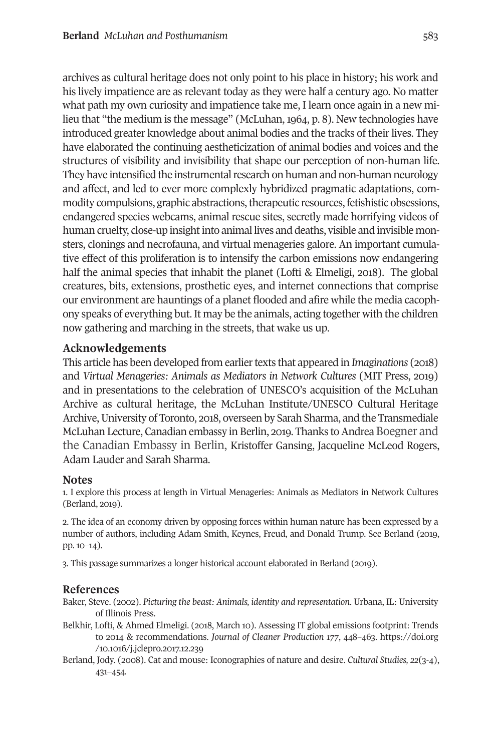archives as cultural heritage does not only point to his place in history; his work and his lively impatience are as relevant today as they were half a century ago. No matter what path my own curiosity and impatience take me, I learn once again in a new milieu that "the medium is the message" (McLuhan, 1964, p. 8). New technologies have introduced greater knowledge about animal bodies and the tracks of their lives. They have elaborated the continuing aestheticization of animal bodies and voices and the structures of visibility and invisibility that shape our perception of non-human life. They have intensified the instrumental research on human and non-human neurology and affect, and led to ever more complexly hybridized pragmatic adaptations, commodity compulsions, graphic abstractions, therapeutic resources, fetishistic obsessions, endangered species webcams, animal rescue sites, secretly made horrifying videos of human cruelty, close-up insight into animal lives and deaths, visible and invisible monsters, clonings and necrofauna, and virtual menageries galore. An important cumulative effect of this proliferation is to intensify the carbon emissions now endangering half the animal species that inhabit the planet (Lofti & Elmeligi, 2018). The global creatures, bits, extensions, prosthetic eyes, and internet connections that comprise our environment are hauntings of a planet flooded and afire while the media cacophony speaks of everything but. It may be the animals, acting together with the children now gathering and marching in the streets, that wake us up.

### **Acknowledgements**

This article has been developed from earliertexts that appeared in *Imaginations* (2011) and *Virtual Menageries: Animals as Mediators in Network Cultures* (MIT Press, 2019) and in presentations to the celebration of UNESCO's acquisition of the McLuhan Archive as cultural heritage, the McLuhan Institute/UNESCO Cultural Heritage Archive, University of Toronto, 2018, overseen by Sarah Sharma, and the Transmediale McLuhan Lecture, Canadian embassy in Berlin, 2019. Thanks to Andrea Boegner and the Canadian Embassy in Berlin, Kristoffer Gansing, Jacqueline McLeod Rogers, Adam Lauder and Sarah Sharma.

#### **Notes**

<span id="page-16-0"></span>1. I explore this process at length in Virtual Menageries: Animals as Mediators in Network Cultures (Berland, 2019).

<span id="page-16-1"></span>2. The idea of an economy driven by opposing forces within human nature has been expressed by a number of authors, including Adam Smith, Keynes, Freud, and Donald Trump. See Berland (2019, pp. 10–14).

<span id="page-16-2"></span>3. This passage summarizes a longer historical account elaborated in Berland (2019).

# **References**

Baker, Steve. (2002). *Picturing the beast: Animals, identity and representation*. Urbana, IL: University of Illinois Press.

- Belkhir, Lofti, & Ahmed Elmeligi. (2018, March 10). Assessing IT global emissions footprint: Trends to 2014 & recommendations. *Journal of Cleaner Production 177*, 448-463. [https://doi.org](https://doi.org/10.1016/j.jclepro.2017.12.239) /10.1016/j.jclepro.2017.12.239
- Berland, Jody. (2001). Cat and mouse: Iconographies of nature and desire. *Cultural Studies, 22*(3-0), 431-454.